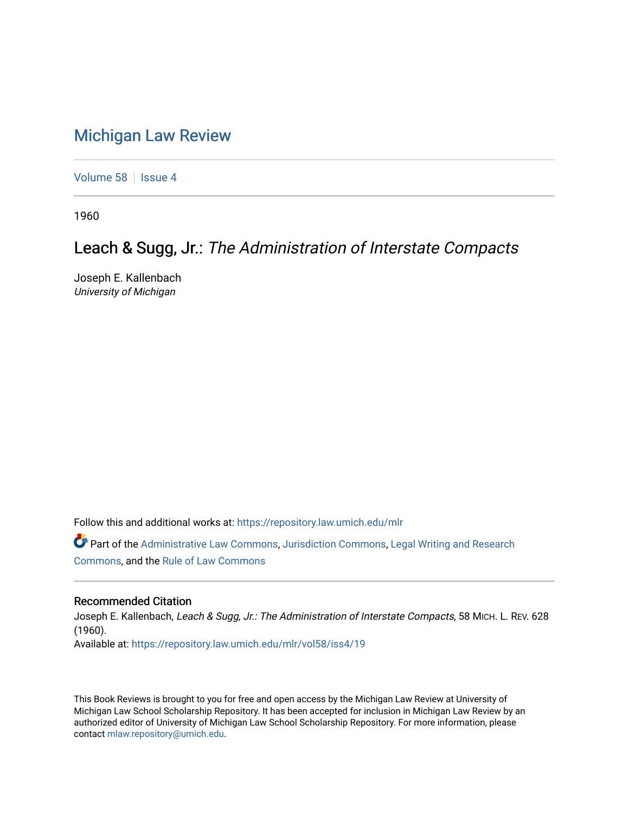## [Michigan Law Review](https://repository.law.umich.edu/mlr)

[Volume 58](https://repository.law.umich.edu/mlr/vol58) | [Issue 4](https://repository.law.umich.edu/mlr/vol58/iss4)

1960

## Leach & Sugg, Jr.: The Administration of Interstate Compacts

Joseph E. Kallenbach University of Michigan

Follow this and additional works at: [https://repository.law.umich.edu/mlr](https://repository.law.umich.edu/mlr?utm_source=repository.law.umich.edu%2Fmlr%2Fvol58%2Fiss4%2F19&utm_medium=PDF&utm_campaign=PDFCoverPages) 

Part of the [Administrative Law Commons,](http://network.bepress.com/hgg/discipline/579?utm_source=repository.law.umich.edu%2Fmlr%2Fvol58%2Fiss4%2F19&utm_medium=PDF&utm_campaign=PDFCoverPages) [Jurisdiction Commons](http://network.bepress.com/hgg/discipline/850?utm_source=repository.law.umich.edu%2Fmlr%2Fvol58%2Fiss4%2F19&utm_medium=PDF&utm_campaign=PDFCoverPages), [Legal Writing and Research](http://network.bepress.com/hgg/discipline/614?utm_source=repository.law.umich.edu%2Fmlr%2Fvol58%2Fiss4%2F19&utm_medium=PDF&utm_campaign=PDFCoverPages) [Commons](http://network.bepress.com/hgg/discipline/614?utm_source=repository.law.umich.edu%2Fmlr%2Fvol58%2Fiss4%2F19&utm_medium=PDF&utm_campaign=PDFCoverPages), and the [Rule of Law Commons](http://network.bepress.com/hgg/discipline/1122?utm_source=repository.law.umich.edu%2Fmlr%2Fvol58%2Fiss4%2F19&utm_medium=PDF&utm_campaign=PDFCoverPages) 

## Recommended Citation

Joseph E. Kallenbach, Leach & Sugg, Jr.: The Administration of Interstate Compacts, 58 MICH. L. REV. 628 (1960). Available at: [https://repository.law.umich.edu/mlr/vol58/iss4/19](https://repository.law.umich.edu/mlr/vol58/iss4/19?utm_source=repository.law.umich.edu%2Fmlr%2Fvol58%2Fiss4%2F19&utm_medium=PDF&utm_campaign=PDFCoverPages) 

This Book Reviews is brought to you for free and open access by the Michigan Law Review at University of Michigan Law School Scholarship Repository. It has been accepted for inclusion in Michigan Law Review by an authorized editor of University of Michigan Law School Scholarship Repository. For more information, please contact [mlaw.repository@umich.edu](mailto:mlaw.repository@umich.edu).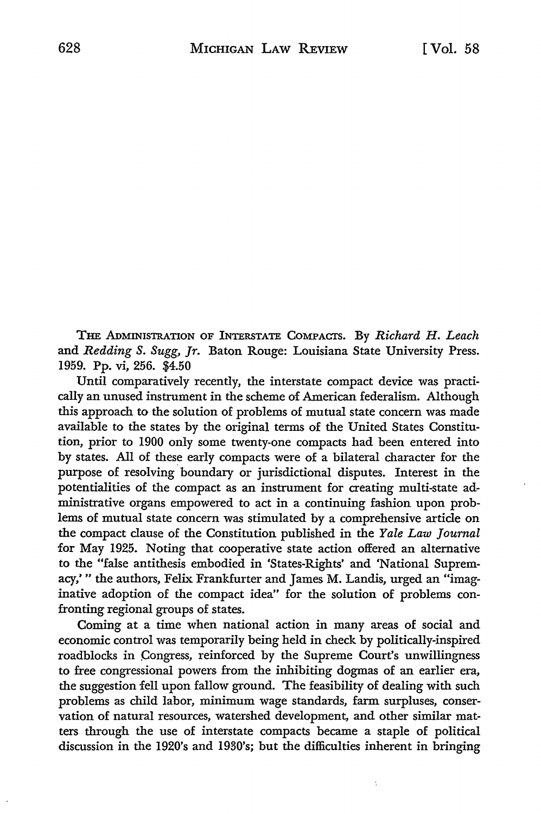THE ADMINISTRATION OF INTERSTATE COMPACTS. By *Richard H. Leach*  and Redding S. Sugg, *Jr.* Baton Rouge: Louisiana State University Press. 1959. Pp. vi, 256. \$4.50

Until comparatively recently, the interstate compact device was practically an unused instrument in the scheme of American federalism. Although this approach to the solution of problems of mutual state concern was made available to the states by the original terms of the United States Constitution, prior to 1900 only some twenty-one compacts had been entered into by states. All of these early compacts were of a bilateral character for the purpose of resolving boundary or jurisdictional disputes. Interest in the potentialities of the compact as an instrument for creating multi-state administrative organs empowered to act in a continuing fashion upon problems of mutual state concern was stimulated by a comprehensive article on the compact clause of the Constitution published in the *Yale Law Journal*  for May 1925. Noting that cooperative state action offered an alternative to the "false antithesis embodied in 'States-Rights' and 'National Supremacy,'" the authors, Felix Frankfurter and James M. Landis, urged an "imaginative adoption of the compact idea" for the solution of problems confronting regional groups of states.

Coming at a time when national action in many areas of social and economic control was temporarily being held in check by politically-inspired roadblocks in Congress, reinforced by the Supreme Court's unwillingness to free congressional powers from the inhibiting dogmas of an earlier era, the suggestion fell upon fallow ground. The feasibility of dealing with such problems as child labor, minimum wage standards, farm surpluses, conservation of natural resources, watershed development, and other similar matters through the use of interstate compacts became a staple of political discussion in the 1920's and 1930's; but the difficulties inherent in bringing

t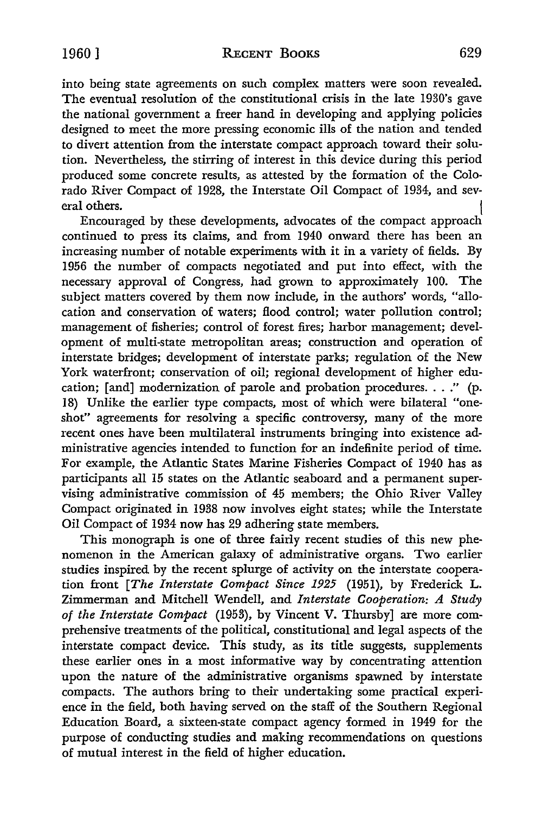into being state agreements on such complex matters were soon revealed. The eventual resolution of the constitutional crisis in the late 1930's gave the national government a freer hand in developing and applying policies designed to meet the more pressing economic ills of the nation and tended to divert attention from the interstate compact approach toward their solution. Nevertheless, the stirring of interest in this device during this period produced some concrete results, as attested by the formation of the Colorado River Compact of 1928, the Interstate Oil Compact of 1934, and several others.

Encouraged by these developments, advocates of the compact approach continued to press its claims, and from 1940 onward there has been an increasing number of notable experiments with it in a variety of fields. By 1956 the number of compacts negotiated and put into effect, with the necessary approval of Congress, had grown to approximately 100. The subject matters covered by them now include, in the authors' words, "allocation and conservation of waters; flood control; water pollution control; management of fisheries; control of forest fires; harbor management; development of multi-state metropolitan areas; construction and operation of interstate bridges; development of interstate parks; regulation of the New York waterfront; conservation of oil; regional development of higher education; [and] modernization of parole and probation procedures. . . ." (p. 18) Unlike the earlier type compacts, most of which were bilateral "oneshot" agreements for resolving a specific controversy, many of the more recent ones have been multilateral instruments bringing into existence administrative agencies intended to function for an indefinite period of time. For example, the Atlantic States Marine Fisheries Compact of 1940 has as participants all 15 states on the Atlantic seaboard and a permanent supervising administrative commission of 45 members; the Ohio River Valley Compact originated in 1938 now involves eight states; while the Interstate Oil Compact of 1934 now has 29 adhering state members.

This monograph is one of three fairly recent studies of this new phenomenon in the American galaxy of administrative organs. Two earlier studies inspired by the recent splurge of activity on the interstate cooperation front *[The Interstate Compact Since 1925* (1951), by Frederick L. Zimmerman and Mitchell Wendell, and *Interstate Cooperation: A Study of the Interstate Compact* (1953), by Vincent V. Thursby] are more comprehensive treatments of the political, constitutional and legal aspects of the interstate compact device. This study, as its title suggests, supplements these earlier ones in a most informative way by concentrating attention upon the nature of the administrative organisms spawned by interstate compacts. The authors bring to their undertaking some practical experience in the field, both having served on the staff of the Southern Regional Education Board, a sixteen-state compact agency formed in 1949 for the purpose of conducting studies and making recommendations on questions of mutual interest in the field of higher education.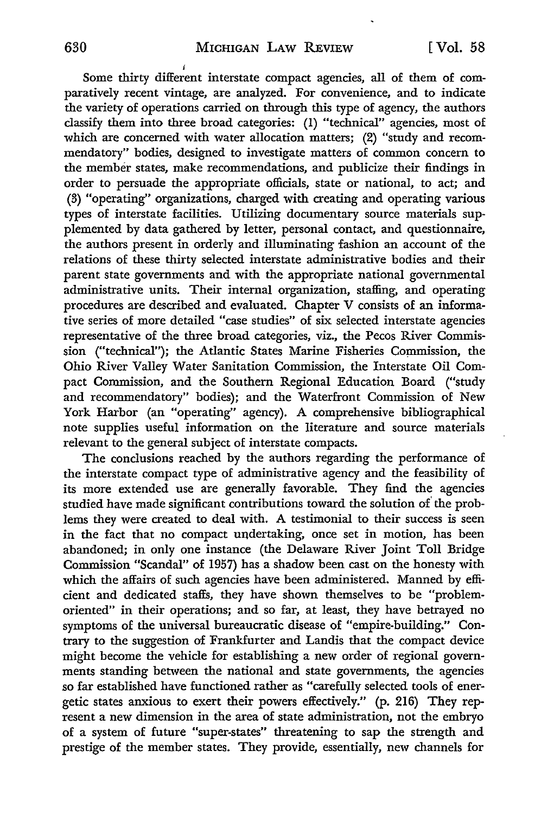*i*  Some thirty different interstate compact agencies, all of them of comparatively recent vintage, are analyzed. For convenience, and to indicate the variety of operations carried on through this type of agency, the authors classify them into three broad categories: (1) "technical" agencies, most of which are concerned with water allocation matters; (2) "study and recommendatory" bodies, designed to investigate matters of common concern to the member states, make recommendations, and publicize their findings in order to persuade the appropriate officials, state or national, to act; and (3) "operating" organizations, charged with creating and operating various types of interstate facilities. Utilizing documentary source materials supplemented by data gathered by letter, personal contact, and questionnaire, the authors present in orderly and illuminating fashion an account of the relations of these thirty selected interstate administrative bodies and their parent state governments and with the appropriate national governmental administrative units. Their internal organization, staffing, and operating procedures are described and evaluated. Chapter V consists of an informative series of more detailed "case studies" of six selected interstate agencies representative of the three broad categories, viz., the Pecos River Commission ("technical"); the Atlantic States Marine Fisheries Commission, the Ohio River Valley Water Sanitation Commission, the Interstate Oil Compact Commission, and the Southern Regional Education Board ("study and recommendatory" bodies); and the Waterfront Commission of New York Harbor (an "operating" agency). A comprehensive bibliographical note supplies useful information on the literature and source materials relevant to the general subject of interstate compacts.

The conclusions reached by the authors regarding the performance of the interstate compact type of administrative agency and the feasibility of its more extended use are generally favorable. They find the agencies studied have made significant contributions toward the solution of' the problems they were created to deal with. A testimonial to their success is seen in the fact that no compact undertaking, once set in motion, has been abandoned; in only one instance (the Delaware River Joint Toll Bridge Commission "Scandal" of 1957) has a shadow been cast on the honesty with which the affairs of such agencies have been administered. Manned by efficient and dedicated staffs, they have shown themselves to be "problemoriented" in their operations; and so far, at least, they have betrayed no symptoms of the universal bureaucratic disease of "empire-building.'' Contrary to the suggestion of Frankfurter and Landis that the compact device might become the vehicle for establishing a new order of regional governments standing between the national and state governments, the agencies so far established have functioned rather as "carefully selected tools of energetic states anxious to exert their powers effectively." (p. 216) They represent a new dimension in the area of state administration, not the embryo of a system of future "super-states" threatening to sap the strength and prestige of the member states. They provide, essentially, new channels for